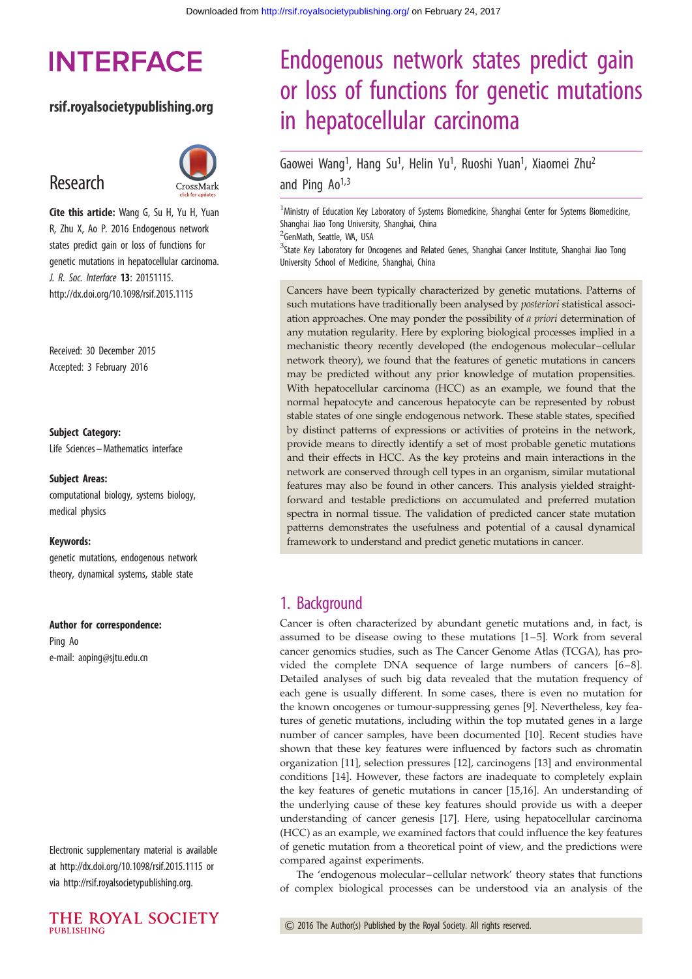# **INTERFACE**

#### rsif.royalsocietypublishing.org

# Research



Cite this article: Wang G, Su H, Yu H, Yuan R, Zhu X, Ao P. 2016 Endogenous network states predict gain or loss of functions for genetic mutations in hepatocellular carcinoma. J. R. Soc. Interface 13: 20151115. http://dx.doi.org/10.1098/rsif.2015.1115

Received: 30 December 2015 Accepted: 3 February 2016

#### Subject Category:

Life Sciences –Mathematics interface

#### Subject Areas:

computational biology, systems biology, medical physics

#### Keywords:

genetic mutations, endogenous network theory, dynamical systems, stable state

#### Author for correspondence:

Ping Ao e-mail: [aoping@sjtu.edu.cn](mailto:aoping@sjtu.edu.cn)

Electronic supplementary material is available at<http://dx.doi.org/10.1098/rsif.2015.1115> or via<http://rsif.royalsocietypublishing.org>.



# Endogenous network states predict gain or loss of functions for genetic mutations in hepatocellular carcinoma

Gaowei Wang<sup>1</sup>, Hang Su<sup>1</sup>, Helin Yu<sup>1</sup>, Ruoshi Yuan<sup>1</sup>, Xiaomei Zhu<sup>2</sup> and Ping Ao<sup>1,3</sup>

<sup>1</sup> Ministry of Education Key Laboratory of Systems Biomedicine, Shanghai Center for Systems Biomedicine, Shanghai Jiao Tong University, Shanghai, China

<sup>2</sup>GenMath, Seattle, WA, USA

<sup>3</sup>State Key Laboratory for Oncogenes and Related Genes, Shanghai Cancer Institute, Shanghai Jiao Tong University School of Medicine, Shanghai, China

Cancers have been typically characterized by genetic mutations. Patterns of such mutations have traditionally been analysed by posteriori statistical association approaches. One may ponder the possibility of a priori determination of any mutation regularity. Here by exploring biological processes implied in a mechanistic theory recently developed (the endogenous molecular–cellular network theory), we found that the features of genetic mutations in cancers may be predicted without any prior knowledge of mutation propensities. With hepatocellular carcinoma (HCC) as an example, we found that the normal hepatocyte and cancerous hepatocyte can be represented by robust stable states of one single endogenous network. These stable states, specified by distinct patterns of expressions or activities of proteins in the network, provide means to directly identify a set of most probable genetic mutations and their effects in HCC. As the key proteins and main interactions in the network are conserved through cell types in an organism, similar mutational features may also be found in other cancers. This analysis yielded straightforward and testable predictions on accumulated and preferred mutation spectra in normal tissue. The validation of predicted cancer state mutation patterns demonstrates the usefulness and potential of a causal dynamical framework to understand and predict genetic mutations in cancer.

## 1. Background

Cancer is often characterized by abundant genetic mutations and, in fact, is assumed to be disease owing to these mutations [\[1](#page-6-0) –[5](#page-6-0)]. Work from several cancer genomics studies, such as The Cancer Genome Atlas (TCGA), has provided the complete DNA sequence of large numbers of cancers  $[6-8]$  $[6-8]$ . Detailed analyses of such big data revealed that the mutation frequency of each gene is usually different. In some cases, there is even no mutation for the known oncogenes or tumour-suppressing genes [\[9\]](#page-6-0). Nevertheless, key features of genetic mutations, including within the top mutated genes in a large number of cancer samples, have been documented [[10\]](#page-7-0). Recent studies have shown that these key features were influenced by factors such as chromatin organization [[11\]](#page-7-0), selection pressures [\[12](#page-7-0)], carcinogens [[13\]](#page-7-0) and environmental conditions [[14\]](#page-7-0). However, these factors are inadequate to completely explain the key features of genetic mutations in cancer [[15,16\]](#page-7-0). An understanding of the underlying cause of these key features should provide us with a deeper understanding of cancer genesis [\[17](#page-7-0)]. Here, using hepatocellular carcinoma (HCC) as an example, we examined factors that could influence the key features of genetic mutation from a theoretical point of view, and the predictions were compared against experiments.

The 'endogenous molecular –cellular network' theory states that functions of complex biological processes can be understood via an analysis of the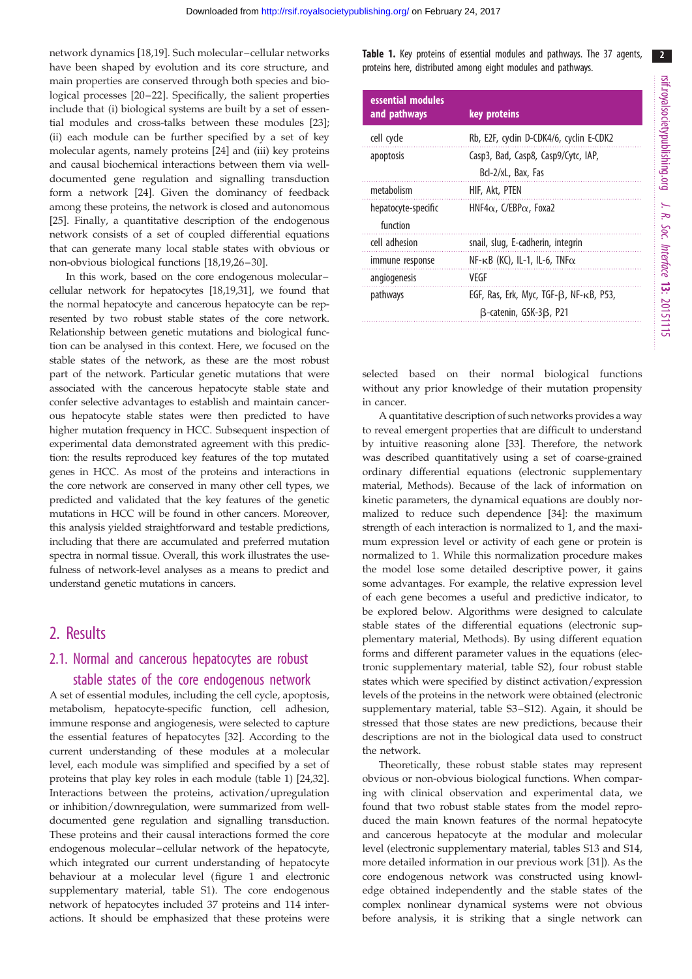<span id="page-1-0"></span>network dynamics [\[18,19](#page-7-0)]. Such molecular –cellular networks have been shaped by evolution and its core structure, and main properties are conserved through both species and biological processes [\[20](#page-7-0)–[22\]](#page-7-0). Specifically, the salient properties include that (i) biological systems are built by a set of essential modules and cross-talks between these modules [\[23](#page-7-0)]; (ii) each module can be further specified by a set of key molecular agents, namely proteins [\[24](#page-7-0)] and (iii) key proteins and causal biochemical interactions between them via welldocumented gene regulation and signalling transduction form a network [[24\]](#page-7-0). Given the dominancy of feedback among these proteins, the network is closed and autonomous [\[25](#page-7-0)]. Finally, a quantitative description of the endogenous network consists of a set of coupled differential equations that can generate many local stable states with obvious or non-obvious biological functions [[18,19,26](#page-7-0) –[30](#page-7-0)].

In this work, based on the core endogenous molecular– cellular network for hepatocytes [\[18,19,31\]](#page-7-0), we found that the normal hepatocyte and cancerous hepatocyte can be represented by two robust stable states of the core network. Relationship between genetic mutations and biological function can be analysed in this context. Here, we focused on the stable states of the network, as these are the most robust part of the network. Particular genetic mutations that were associated with the cancerous hepatocyte stable state and confer selective advantages to establish and maintain cancerous hepatocyte stable states were then predicted to have higher mutation frequency in HCC. Subsequent inspection of experimental data demonstrated agreement with this prediction: the results reproduced key features of the top mutated genes in HCC. As most of the proteins and interactions in the core network are conserved in many other cell types, we predicted and validated that the key features of the genetic mutations in HCC will be found in other cancers. Moreover, this analysis yielded straightforward and testable predictions, including that there are accumulated and preferred mutation spectra in normal tissue. Overall, this work illustrates the usefulness of network-level analyses as a means to predict and understand genetic mutations in cancers.

## 2. Results

## 2.1. Normal and cancerous hepatocytes are robust stable states of the core endogenous network

A set of essential modules, including the cell cycle, apoptosis, metabolism, hepatocyte-specific function, cell adhesion, immune response and angiogenesis, were selected to capture the essential features of hepatocytes [\[32](#page-7-0)]. According to the current understanding of these modules at a molecular level, each module was simplified and specified by a set of proteins that play key roles in each module (table 1) [\[24,32](#page-7-0)]. Interactions between the proteins, activation/upregulation or inhibition/downregulation, were summarized from welldocumented gene regulation and signalling transduction. These proteins and their causal interactions formed the core endogenous molecular–cellular network of the hepatocyte, which integrated our current understanding of hepatocyte behaviour at a molecular level [\(figure 1](#page-2-0) and electronic supplementary material, table S1). The core endogenous network of hepatocytes included 37 proteins and 114 interactions. It should be emphasized that these proteins were

Table 1. Key proteins of essential modules and pathways. The 37 agents, proteins here, distributed among eight modules and pathways.

| essential modules<br>and pathways | key proteins                                     |
|-----------------------------------|--------------------------------------------------|
| cell cycle                        | Rb, E2F, cyclin D-CDK4/6, cyclin E-CDK2          |
| apoptosis                         | Casp3, Bad, Casp8, Casp9/Cytc, IAP,              |
|                                   | Bcl-2/xL, Bax, Fas                               |
| metabolism                        | HIF, Akt, PTEN                                   |
| hepatocyte-specific               | HNF4 $\alpha$ , C/EBP $\alpha$ , Foxa2           |
| function                          |                                                  |
| cell adhesion                     | snail, slug, E-cadherin, integrin                |
| immune response                   | $NF$ - $\kappa B$ (KC), IL-1, IL-6, TNF $\alpha$ |
| angiogenesis                      | VEGF                                             |
| pathways                          | EGF, Ras, Erk, Myc, TGF-B, NF-KB, P53,           |
|                                   | B-catenin, GSK-3B, P21                           |

selected based on their normal biological functions without any prior knowledge of their mutation propensity in cancer.

A quantitative description of such networks provides a way to reveal emergent properties that are difficult to understand by intuitive reasoning alone [[33\]](#page-7-0). Therefore, the network was described quantitatively using a set of coarse-grained ordinary differential equations (electronic supplementary material, Methods). Because of the lack of information on kinetic parameters, the dynamical equations are doubly normalized to reduce such dependence [\[34](#page-7-0)]: the maximum strength of each interaction is normalized to 1, and the maximum expression level or activity of each gene or protein is normalized to 1. While this normalization procedure makes the model lose some detailed descriptive power, it gains some advantages. For example, the relative expression level of each gene becomes a useful and predictive indicator, to be explored below. Algorithms were designed to calculate stable states of the differential equations (electronic supplementary material, Methods). By using different equation forms and different parameter values in the equations (electronic supplementary material, table S2), four robust stable states which were specified by distinct activation/expression levels of the proteins in the network were obtained (electronic supplementary material, table S3-S12). Again, it should be stressed that those states are new predictions, because their descriptions are not in the biological data used to construct the network.

Theoretically, these robust stable states may represent obvious or non-obvious biological functions. When comparing with clinical observation and experimental data, we found that two robust stable states from the model reproduced the main known features of the normal hepatocyte and cancerous hepatocyte at the modular and molecular level (electronic supplementary material, tables S13 and S14, more detailed information in our previous work [[31\]](#page-7-0)). As the core endogenous network was constructed using knowledge obtained independently and the stable states of the complex nonlinear dynamical systems were not obvious before analysis, it is striking that a single network can 2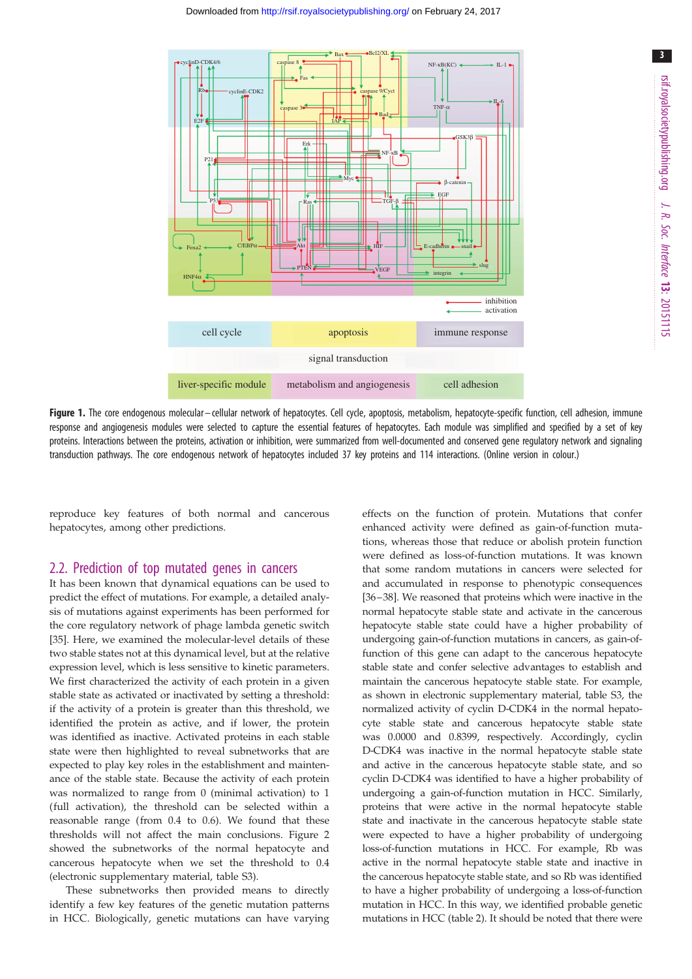<span id="page-2-0"></span>

Figure 1. The core endogenous molecular -cellular network of hepatocytes. Cell cycle, apoptosis, metabolism, hepatocyte-specific function, cell adhesion, immune response and angiogenesis modules were selected to capture the essential features of hepatocytes. Each module was simplified and specified by a set of key proteins. Interactions between the proteins, activation or inhibition, were summarized from well-documented and conserved gene regulatory network and signaling transduction pathways. The core endogenous network of hepatocytes included 37 key proteins and 114 interactions. (Online version in colour.)

reproduce key features of both normal and cancerous hepatocytes, among other predictions.

#### 2.2. Prediction of top mutated genes in cancers

It has been known that dynamical equations can be used to predict the effect of mutations. For example, a detailed analysis of mutations against experiments has been performed for the core regulatory network of phage lambda genetic switch [\[35](#page-7-0)]. Here, we examined the molecular-level details of these two stable states not at this dynamical level, but at the relative expression level, which is less sensitive to kinetic parameters. We first characterized the activity of each protein in a given stable state as activated or inactivated by setting a threshold: if the activity of a protein is greater than this threshold, we identified the protein as active, and if lower, the protein was identified as inactive. Activated proteins in each stable state were then highlighted to reveal subnetworks that are expected to play key roles in the establishment and maintenance of the stable state. Because the activity of each protein was normalized to range from 0 (minimal activation) to 1 (full activation), the threshold can be selected within a reasonable range (from 0.4 to 0.6). We found that these thresholds will not affect the main conclusions. [Figure 2](#page-3-0) showed the subnetworks of the normal hepatocyte and cancerous hepatocyte when we set the threshold to 0.4 (electronic supplementary material, table S3).

These subnetworks then provided means to directly identify a few key features of the genetic mutation patterns in HCC. Biologically, genetic mutations can have varying effects on the function of protein. Mutations that confer enhanced activity were defined as gain-of-function mutations, whereas those that reduce or abolish protein function were defined as loss-of-function mutations. It was known that some random mutations in cancers were selected for and accumulated in response to phenotypic consequences [[36](#page-7-0)–[38](#page-7-0)]. We reasoned that proteins which were inactive in the normal hepatocyte stable state and activate in the cancerous hepatocyte stable state could have a higher probability of undergoing gain-of-function mutations in cancers, as gain-offunction of this gene can adapt to the cancerous hepatocyte stable state and confer selective advantages to establish and maintain the cancerous hepatocyte stable state. For example, as shown in electronic supplementary material, table S3, the normalized activity of cyclin D-CDK4 in the normal hepatocyte stable state and cancerous hepatocyte stable state was 0.0000 and 0.8399, respectively. Accordingly, cyclin D-CDK4 was inactive in the normal hepatocyte stable state and active in the cancerous hepatocyte stable state, and so cyclin D-CDK4 was identified to have a higher probability of undergoing a gain-of-function mutation in HCC. Similarly, proteins that were active in the normal hepatocyte stable state and inactivate in the cancerous hepatocyte stable state were expected to have a higher probability of undergoing loss-of-function mutations in HCC. For example, Rb was active in the normal hepatocyte stable state and inactive in the cancerous hepatocyte stable state, and so Rb was identified to have a higher probability of undergoing a loss-of-function mutation in HCC. In this way, we identified probable genetic mutations in HCC [\(table 2](#page-4-0)). It should be noted that there were

3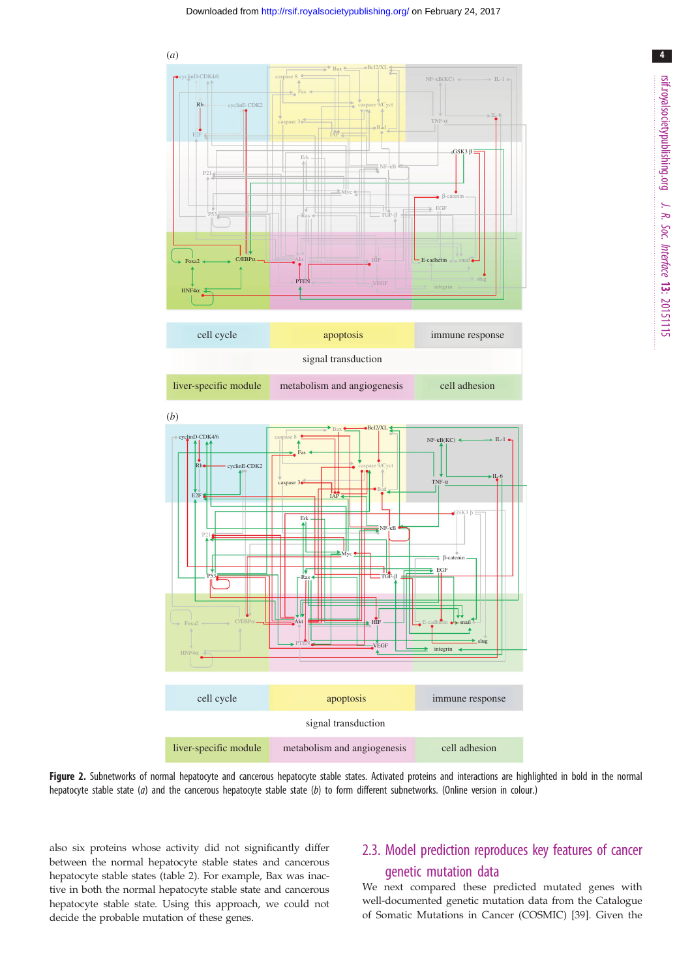<span id="page-3-0"></span>

Figure 2. Subnetworks of normal hepatocyte and cancerous hepatocyte stable states. Activated proteins and interactions are highlighted in bold in the normal hepatocyte stable state ( $a$ ) and the cancerous hepatocyte stable state ( $b$ ) to form different subnetworks. (Online version in colour.)

also six proteins whose activity did not significantly differ between the normal hepatocyte stable states and cancerous hepatocyte stable states [\(table 2\)](#page-4-0). For example, Bax was inactive in both the normal hepatocyte stable state and cancerous hepatocyte stable state. Using this approach, we could not decide the probable mutation of these genes.

## 2.3. Model prediction reproduces key features of cancer genetic mutation data

We next compared these predicted mutated genes with well-documented genetic mutation data from the Catalogue of Somatic Mutations in Cancer (COSMIC) [[39\]](#page-7-0). Given the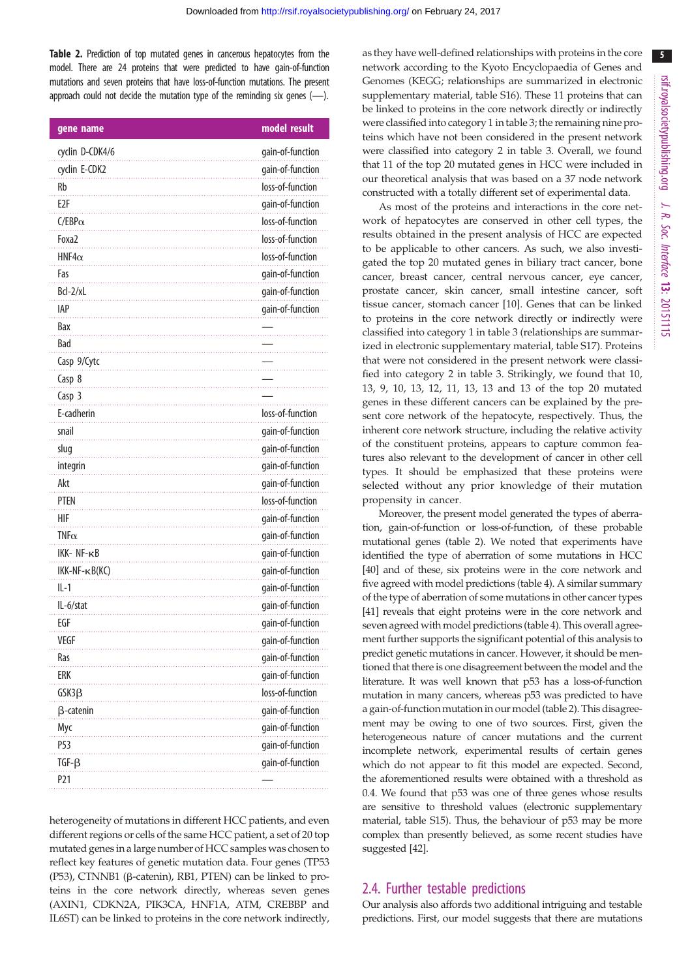<span id="page-4-0"></span>Table 2. Prediction of top mutated genes in cancerous hepatocytes from the model. There are 24 proteins that were predicted to have gain-of-function mutations and seven proteins that have loss-of-function mutations. The present approach could not decide the mutation type of the reminding six genes (—).

| gene name         | model result     |
|-------------------|------------------|
| cyclin D-CDK4/6   | gain-of-function |
| cyclin E-CDK2     | gain-of-function |
| Rb                | loss-of-function |
| E <sub>2F</sub>   | gain-of-function |
| $C/EBP\alpha$     | loss-of-function |
| Foxa2             | loss-of-function |
| HNF4 $\alpha$     | loss-of-function |
| Fas               | gain-of-function |
| Bcl-2/xL          | gain-of-function |
| <b>IAP</b>        | gain-of-function |
| Bax               |                  |
| Bad               |                  |
| Casp 9/Cytc       |                  |
| Casp 8            |                  |
| Casp 3            |                  |
| E-cadherin        | loss-of-function |
| snail             | gain-of-function |
| slug              | gain-of-function |
| integrin          | gain-of-function |
| Akt               | gain-of-function |
| <b>PTEN</b>       | loss-of-function |
| <b>HIF</b>        | gain-of-function |
| $TNF\alpha$       | gain-of-function |
| IKK-NF-RB         | gain-of-function |
| IKK-NF-RB(KC)     | gain-of-function |
| $IL-1$            | gain-of-function |
| IL-6/stat         | gain-of-function |
| EGF               | gain-of-function |
| VEGF              | gain-of-function |
| Ras               | gain-of-function |
| ERK               | gain-of-function |
| GSK3 <sub>B</sub> | loss-of-function |
| $\beta$ -catenin  | gain-of-function |
| Myc               | gain-of-function |
| P53               | gain-of-function |
| $TGF - \beta$     | gain-of-function |
| P21               |                  |

heterogeneity of mutations in different HCC patients, and even different regions or cells of the same HCC patient, a set of 20 top mutated genes in a large number of HCC samples was chosen to reflect key features of genetic mutation data. Four genes (TP53 (P53), CTNNB1 (b-catenin), RB1, PTEN) can be linked to proteins in the core network directly, whereas seven genes (AXIN1, CDKN2A, PIK3CA, HNF1A, ATM, CREBBP and IL6ST) can be linked to proteins in the core network indirectly, as they have well-defined relationships with proteins in the core network according to the Kyoto Encyclopaedia of Genes and Genomes (KEGG; relationships are summarized in electronic supplementary material, table S16). These 11 proteins that can be linked to proteins in the core network directly or indirectly were classified into category 1 in [table 3](#page-5-0); the remaining nine proteins which have not been considered in the present network were classified into category 2 in [table 3](#page-5-0). Overall, we found that 11 of the top 20 mutated genes in HCC were included in our theoretical analysis that was based on a 37 node network constructed with a totally different set of experimental data.

As most of the proteins and interactions in the core network of hepatocytes are conserved in other cell types, the results obtained in the present analysis of HCC are expected to be applicable to other cancers. As such, we also investigated the top 20 mutated genes in biliary tract cancer, bone cancer, breast cancer, central nervous cancer, eye cancer, prostate cancer, skin cancer, small intestine cancer, soft tissue cancer, stomach cancer [[10\]](#page-7-0). Genes that can be linked to proteins in the core network directly or indirectly were classified into category 1 in [table 3](#page-5-0) (relationships are summarized in electronic supplementary material, table S17). Proteins that were not considered in the present network were classified into category 2 in [table 3.](#page-5-0) Strikingly, we found that 10, 13, 9, 10, 13, 12, 11, 13, 13 and 13 of the top 20 mutated genes in these different cancers can be explained by the present core network of the hepatocyte, respectively. Thus, the inherent core network structure, including the relative activity of the constituent proteins, appears to capture common features also relevant to the development of cancer in other cell types. It should be emphasized that these proteins were selected without any prior knowledge of their mutation propensity in cancer.

Moreover, the present model generated the types of aberration, gain-of-function or loss-of-function, of these probable mutational genes (table 2). We noted that experiments have identified the type of aberration of some mutations in HCC [[40](#page-7-0)] and of these, six proteins were in the core network and five agreed with model predictions ([table 4](#page-5-0)). A similar summary of the type of aberration of some mutations in other cancer types [[41](#page-7-0)] reveals that eight proteins were in the core network and seven agreed with model predictions ([table 4\)](#page-5-0). This overall agreement further supports the significant potential of this analysis to predict genetic mutations in cancer. However, it should be mentioned that there is one disagreement between the model and the literature. It was well known that p53 has a loss-of-function mutation in many cancers, whereas p53 was predicted to have a gain-of-function mutation in our model (table 2). This disagreement may be owing to one of two sources. First, given the heterogeneous nature of cancer mutations and the current incomplete network, experimental results of certain genes which do not appear to fit this model are expected. Second, the aforementioned results were obtained with a threshold as 0.4. We found that p53 was one of three genes whose results are sensitive to threshold values (electronic supplementary material, table S15). Thus, the behaviour of p53 may be more complex than presently believed, as some recent studies have suggested [\[42\]](#page-7-0).

#### 2.4. Further testable predictions

Our analysis also affords two additional intriguing and testable predictions. First, our model suggests that there are mutations 5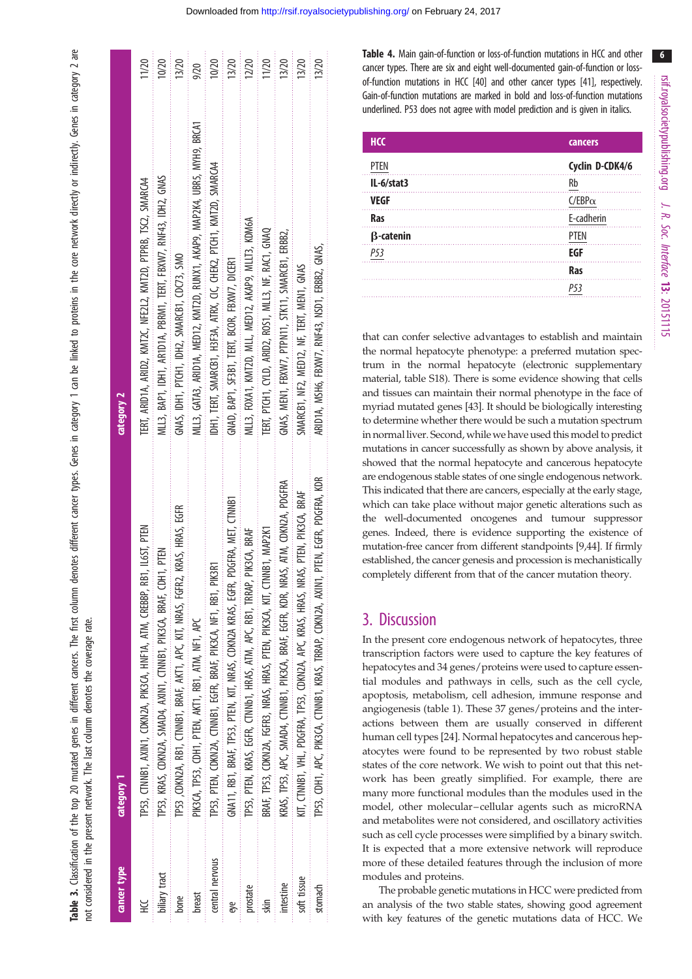<span id="page-5-0"></span>

| cancer type     | Category 1                                                                           | category 2                                                                                                   |       |
|-----------------|--------------------------------------------------------------------------------------|--------------------------------------------------------------------------------------------------------------|-------|
| ž               | TP53, CTNNB1, AXIN1, CDKN2A, PIK3CA, HNF1A, ATM, CREBBP, RB1, IL6ST, PTEN            | TERT, ARIDTA, ARID2, KMT2C, NFE2L2, KMT2D, PTPRB, TSC2, SMARCA4                                              | 11/20 |
| biliary tract   | TP53, KRAS, CDKN2A, SMAD4, AXIN1, CTNNB1, PIK3CA, BRAF, CDH1, PTEN                   | MLL3, BAP1, IDH1, AR1D1A, PBRM1, TERT, FBXW7, RNF43, IDH2, GNAS                                              | 10/20 |
| bone            | KRAS, HRAS, EGFR<br>TP53 ,CDKN2A, RB1, CTNNB1, BRAF, AKT1, APC, KIT, NRAS, FGFR2,    | GNAS, IDH1, PTCH1, IDH2, SMARCB1, CDC73, SMO                                                                 | 13/20 |
| breast          | PIKSCA, TP53, CDH1, PTEN, AKT1, RB1, ATM, NF1, APC                                   | MLL3, GATA3, ARIDTA, MEDT2, KWT2D, RUNXT, AKAP9, MAP2K4, UBR5, MYH9, BRCAT                                   | 07/6  |
| central nervous | TP53, PTEN, CDKN2A, CTNNB1, EGFR, BRAF, PIK3CA, NF1, RB1, PIK3R1                     | IDH1, TERT, SMARCB1, H3F3A, ATRX, CIC, CHEK2, PTCH1, KMT2D, SMARCA4                                          | 10/20 |
| ₹               | GNA11, RB1, BRAF, TP53, PTEN, KIT, NRAS, CDKN2A KRAS, EGFR, PDGFRA, MET, CTNNB1      | GNAD, BAP1, SF3B1, TERT, BCOR, FBXW7, DICER1                                                                 | 13/20 |
| prostate        | TP53, PTEN, KRAS, EGFR, CTNNb1, HRAS, ATM, APC, RB1, TRRAP, PIK3CA, BRAF             | MLL3, FOXA1, KMT2D, MLL, MED12, AKAP9, MLLT3, KDM6A                                                          | 12/20 |
| skin            | BRAF, TP53, CDKN2A, FGFR3, NRAS, HRAS, PTEN, PIK3CA, KIT, CTNNB1, MAP2K1             | TERT, PTCH1, CYLD, ARID2, ROS1, MILL3, NF, RAC1, GNAQ                                                        | 11/20 |
| intestine       | KRAS, TP53, APC, SMAD4, CTNNB1, PIK3CA, BRAF, EGFR, KDR, NRAS, ATM, CDKN2A, PDGFRA   | GNAS, MEN1, FBXW7, PTPN11, STK11, SMARCB1, ERBB2,                                                            | 13/20 |
| soft tissue     | KIT, CTNNB1, VHL, PDGFRA, TP53, CDKN2A, APC, KRAS, HRAS, NRAS, PTEN, PIK3CA, BRAF    | SMARCB1, NF2, MED12, NF, TERT, MEN1, GNAS                                                                    | 13/20 |
| stomach         | TP53, CDH1, APC, PIK3CA, CTNNB1, KRAS, TRRAP, CDKN2A, AXIN1, PTEN, EGFR, PDGFRA, KDR | 医皮肤中毒性 医血管中毒 医血管中毒 医血管性 医血管性 医血管性 医血管性血管 医血管性血管 医血管性血管 医血管<br>ARID1A, MSH6, FBXW7, RNF43, NSD1, ERBB2, GNAS, | 13/20 |

Table 4. Main gain-of-function or loss-of-function mutations in HCC and other cancer types. There are six and eight well-documented gain-of-function or lossof-function mutations in HCC [\[40](#page-7-0)] and other cancer types [[41](#page-7-0)], respectively. Gain-of-function mutations are marked in bold and loss-of-function mutations underlined. P53 does not agree with model prediction and is given in italics.

| <b>HCC</b>       | cancers         |
|------------------|-----------------|
| <b>PTEN</b>      | Cyclin D-CDK4/6 |
| $IL-6/stat3$     | Rb              |
| <b>VEGF</b>      | $C/EBP\alpha$   |
| <b>Ras</b><br>.  | E-cadherin      |
| $\beta$ -catenin | <b>PTEN</b>     |
| P53              | EGF             |
|                  | Ras             |
|                  | P53             |
|                  |                 |

that can confer selective advantages to establish and maintain the normal hepatocyte phenotype: a preferred mutation spectrum in the normal hepatocyte (electronic supplementary material, table S18). There is some evidence showing that cells and tissues can maintain their normal phenotype in the face of myriad mutated genes [\[43\]](#page-7-0). It should be biologically interesting to determine whether there would be such a mutation spectrum in normal liver. Second, whilewe have used this model to predict mutations in cancer successfully as shown by above analysis, it showed that the normal hepatocyte and cancerous hepatocyte are endogenous stable states of one single endogenous network. This indicated that there are cancers, especially at the early stage, which can take place without major genetic alterations such as the well-documented oncogenes and tumour suppressor genes. Indeed, there is evidence supporting the existence of mutation-free cancer from different standpoints [\[9,](#page-6-0)[44\]](#page-7-0). If firmly established, the cancer genesis and procession is mechanistically completely different from that of the cancer mutation theory.

### 3. Discussion

In the present core endogenous network of hepatocytes, three transcription factors were used to capture the key features of hepatocytes and 34 genes/proteins were used to capture essential modules and pathways in cells, such as the cell cycle, apoptosis, metabolism, cell adhesion, immune response and angiogenesis [\(table 1](#page-1-0)). These 37 genes/proteins and the interactions between them are usually conserved in different human cell types [\[24](#page-7-0)]. Normal hepatocytes and cancerous hepatocytes were found to be represented by two robust stable states of the core network. We wish to point out that this network has been greatly simplified. For example, there are many more functional modules than the modules used in the model, other molecular–cellular agents such as microRNA and metabolites were not considered, and oscillatory activities such as cell cycle processes were simplified by a binary switch. It is expected that a more extensive network will reproduce more of these detailed features through the inclusion of more modules and proteins.

The probable genetic mutations in HCC were predicted from an analysis of the two stable states, showing good agreement with key features of the genetic mutations data of HCC. We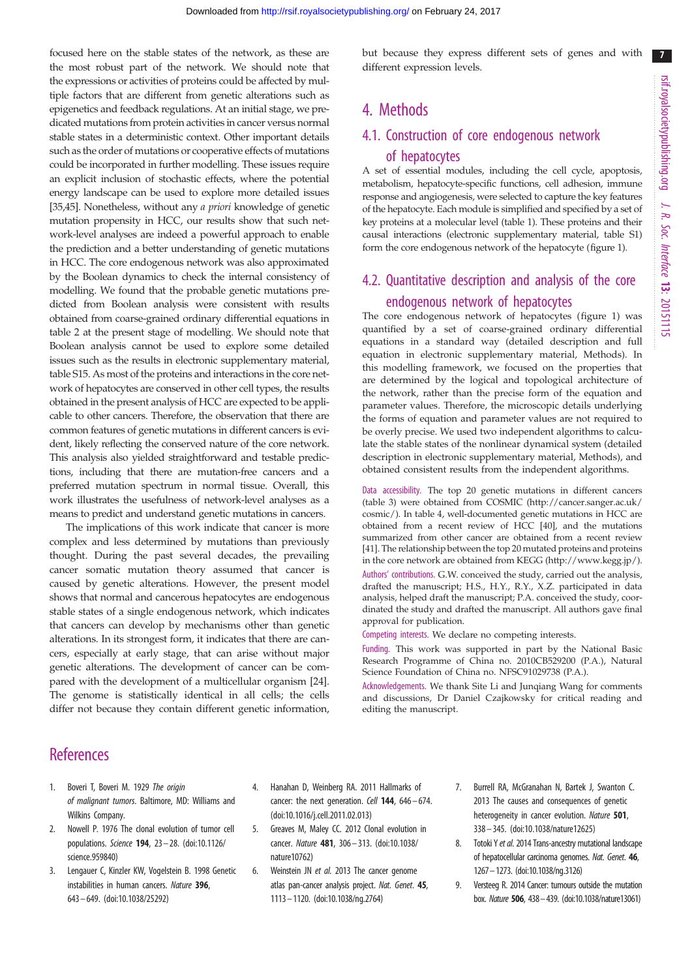7

<span id="page-6-0"></span>focused here on the stable states of the network, as these are the most robust part of the network. We should note that the expressions or activities of proteins could be affected by multiple factors that are different from genetic alterations such as epigenetics and feedback regulations. At an initial stage, we predicated mutations from protein activities in cancer versus normal stable states in a deterministic context. Other important details such as the order of mutations or cooperative effects of mutations could be incorporated in further modelling. These issues require an explicit inclusion of stochastic effects, where the potential energy landscape can be used to explore more detailed issues [\[35,45\]](#page-7-0). Nonetheless, without any a priori knowledge of genetic mutation propensity in HCC, our results show that such network-level analyses are indeed a powerful approach to enable the prediction and a better understanding of genetic mutations in HCC. The core endogenous network was also approximated by the Boolean dynamics to check the internal consistency of modelling. We found that the probable genetic mutations predicted from Boolean analysis were consistent with results obtained from coarse-grained ordinary differential equations in [table 2](#page-4-0) at the present stage of modelling. We should note that Boolean analysis cannot be used to explore some detailed issues such as the results in electronic supplementary material, table S15. As most of the proteins and interactions in the core network of hepatocytes are conserved in other cell types, the results obtained in the present analysis of HCC are expected to be applicable to other cancers. Therefore, the observation that there are common features of genetic mutations in different cancers is evident, likely reflecting the conserved nature of the core network. This analysis also yielded straightforward and testable predictions, including that there are mutation-free cancers and a preferred mutation spectrum in normal tissue. Overall, this work illustrates the usefulness of network-level analyses as a means to predict and understand genetic mutations in cancers.

The implications of this work indicate that cancer is more complex and less determined by mutations than previously thought. During the past several decades, the prevailing cancer somatic mutation theory assumed that cancer is caused by genetic alterations. However, the present model shows that normal and cancerous hepatocytes are endogenous stable states of a single endogenous network, which indicates that cancers can develop by mechanisms other than genetic alterations. In its strongest form, it indicates that there are cancers, especially at early stage, that can arise without major genetic alterations. The development of cancer can be compared with the development of a multicellular organism [[24](#page-7-0)]. The genome is statistically identical in all cells; the cells differ not because they contain different genetic information, but because they express different sets of genes and with different expression levels.

# 4. Methods

## 4.1. Construction of core endogenous network of hepatocytes

A set of essential modules, including the cell cycle, apoptosis, metabolism, hepatocyte-specific functions, cell adhesion, immune response and angiogenesis, were selected to capture the key features of the hepatocyte. Each module is simplified and specified by a set of key proteins at a molecular level [\(table 1\)](#page-1-0). These proteins and their causal interactions (electronic supplementary material, table S1) form the core endogenous network of the hepatocyte [\(figure 1](#page-2-0)).

## 4.2. Quantitative description and analysis of the core endogenous network of hepatocytes

The core endogenous network of hepatocytes [\(figure 1\)](#page-2-0) was quantified by a set of coarse-grained ordinary differential equations in a standard way (detailed description and full equation in electronic supplementary material, Methods). In this modelling framework, we focused on the properties that are determined by the logical and topological architecture of the network, rather than the precise form of the equation and parameter values. Therefore, the microscopic details underlying the forms of equation and parameter values are not required to be overly precise. We used two independent algorithms to calculate the stable states of the nonlinear dynamical system (detailed description in electronic supplementary material, Methods), and obtained consistent results from the independent algorithms.

Data accessibility. The top 20 genetic mutations in different cancers [\(table 3](#page-5-0)) were obtained from COSMIC ([http://cancer.sanger.ac.uk/](http://cancer.sanger.ac.uk/cosmic/) [cosmic/](http://cancer.sanger.ac.uk/cosmic/)). In [table 4](#page-5-0), well-documented genetic mutations in HCC are obtained from a recent review of HCC [\[40](#page-7-0)], and the mutations summarized from other cancer are obtained from a recent review [\[41](#page-7-0)]. The relationship between the top 20 mutated proteins and proteins in the core network are obtained from KEGG (<http://www.kegg.jp/>). Authors' contributions. G.W. conceived the study, carried out the analysis, drafted the manuscript; H.S., H.Y., R.Y., X.Z. participated in data analysis, helped draft the manuscript; P.A. conceived the study, coordinated the study and drafted the manuscript. All authors gave final approval for publication.

Competing interests. We declare no competing interests.

Funding. This work was supported in part by the National Basic Research Programme of China no. 2010CB529200 (P.A.), Natural Science Foundation of China no. NFSC91029738 (P.A.).

Acknowledgements. We thank Site Li and Junqiang Wang for comments and discussions, Dr Daniel Czajkowsky for critical reading and editing the manuscript.

## **References**

- 1. Boveri T, Boveri M. 1929 The origin of malignant tumors. Baltimore, MD: Williams and Wilkins Company.
- 2. Nowell P. 1976 The clonal evolution of tumor cell populations. Science 194, 23– 28. ([doi:10.1126/](http://dx.doi.org/10.1126/science.959840) [science.959840](http://dx.doi.org/10.1126/science.959840))
- 3. Lengauer C, Kinzler KW, Vogelstein B. 1998 Genetic instabilities in human cancers. Nature 396, 643– 649. ([doi:10.1038/25292](http://dx.doi.org/10.1038/25292))
- 4. Hanahan D, Weinberg RA. 2011 Hallmarks of cancer: the next generation. Cell  $144$ ,  $646 - 674$ . [\(doi:10.1016/j.cell.2011.02.013\)](http://dx.doi.org/10.1016/j.cell.2011.02.013)
- 5. Greaves M, Maley CC. 2012 Clonal evolution in cancer. Nature 481, 306– 313. [\(doi:10.1038/](http://dx.doi.org/10.1038/nature10762) [nature10762](http://dx.doi.org/10.1038/nature10762))
- 6. Weinstein JN et al. 2013 The cancer genome atlas pan-cancer analysis project. Nat. Genet. 45, 1113–1120. [\(doi:10.1038/ng.2764](http://dx.doi.org/10.1038/ng.2764))
- 7. Burrell RA, McGranahan N, Bartek J, Swanton C. 2013 The causes and consequences of genetic heterogeneity in cancer evolution. Nature 501, 338– 345. [\(doi:10.1038/nature12625](http://dx.doi.org/10.1038/nature12625))
- 8. Totoki Y et al. 2014 Trans-ancestry mutational landscape of hepatocellular carcinoma genomes. Nat. Genet. 46, 1267–1273. [\(doi:10.1038/ng.3126](http://dx.doi.org/10.1038/ng.3126))
- 9. Versteeg R. 2014 Cancer: tumours outside the mutation box. Nature 506, 438–439. ([doi:10.1038/nature13061](http://dx.doi.org/10.1038/nature13061))